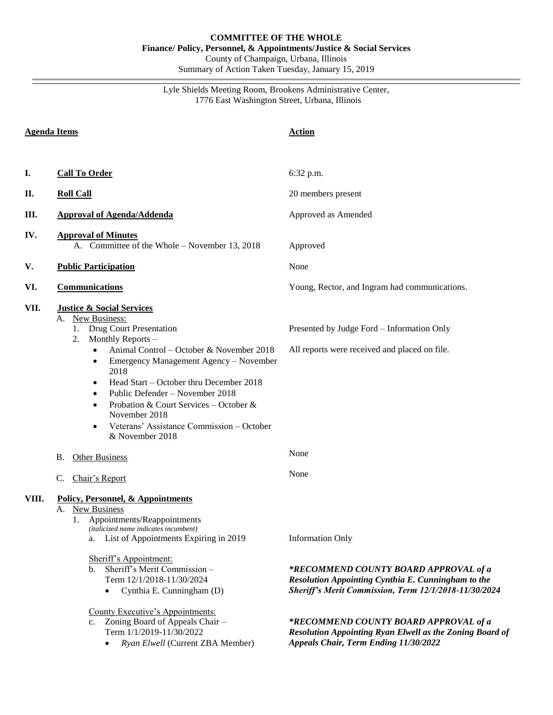Lyle Shields Meeting Room, Brookens Administrative Center, 1776 East Washington Street, Urbana, Illinois

| <b>Agenda Items</b> |                                                                                                                                                                                                                                                                                                                                                                                                                                                                                                             | <b>Action</b>                                                                                                                                                                   |  |
|---------------------|-------------------------------------------------------------------------------------------------------------------------------------------------------------------------------------------------------------------------------------------------------------------------------------------------------------------------------------------------------------------------------------------------------------------------------------------------------------------------------------------------------------|---------------------------------------------------------------------------------------------------------------------------------------------------------------------------------|--|
|                     |                                                                                                                                                                                                                                                                                                                                                                                                                                                                                                             |                                                                                                                                                                                 |  |
| I.                  | <b>Call To Order</b>                                                                                                                                                                                                                                                                                                                                                                                                                                                                                        | 6:32 p.m.                                                                                                                                                                       |  |
| П.                  | <b>Roll Call</b>                                                                                                                                                                                                                                                                                                                                                                                                                                                                                            | 20 members present<br>Approved as Amended                                                                                                                                       |  |
| Ш.                  | <b>Approval of Agenda/Addenda</b>                                                                                                                                                                                                                                                                                                                                                                                                                                                                           |                                                                                                                                                                                 |  |
| IV.                 | <b>Approval of Minutes</b><br>A. Committee of the Whole – November 13, 2018                                                                                                                                                                                                                                                                                                                                                                                                                                 | Approved                                                                                                                                                                        |  |
| V.                  | <b>Public Participation</b>                                                                                                                                                                                                                                                                                                                                                                                                                                                                                 | None                                                                                                                                                                            |  |
| VI.                 | <b>Communications</b>                                                                                                                                                                                                                                                                                                                                                                                                                                                                                       | Young, Rector, and Ingram had communications.                                                                                                                                   |  |
| VII.                | <b>Justice &amp; Social Services</b><br>New Business:<br>А.<br><b>Drug Court Presentation</b><br>1.<br>Monthly Reports -<br>2.<br>Animal Control - October & November 2018<br>$\bullet$<br>Emergency Management Agency - November<br>٠<br>2018<br>Head Start - October thru December 2018<br>$\bullet$<br>Public Defender - November 2018<br>$\bullet$<br>Probation & Court Services - October &<br>$\bullet$<br>November 2018<br>Veterans' Assistance Commission - October<br>$\bullet$<br>& November 2018 | Presented by Judge Ford - Information Only<br>All reports were received and placed on file.                                                                                     |  |
|                     | <b>Other Business</b><br>В.                                                                                                                                                                                                                                                                                                                                                                                                                                                                                 | None                                                                                                                                                                            |  |
|                     | Chair's Report<br>C.                                                                                                                                                                                                                                                                                                                                                                                                                                                                                        | None                                                                                                                                                                            |  |
| VIII.               | Policy, Personnel, & Appointments<br>A. New Business<br>Appointments/Reappointments<br>1.<br>(italicized name indicates incumbent)<br>List of Appointments Expiring in 2019<br>a.<br>Sheriff's Appointment:<br>Sheriff's Merit Commission -<br>b.<br>Term 12/1/2018-11/30/2024<br>Cynthia E. Cunningham (D)<br>$\bullet$                                                                                                                                                                                    | <b>Information Only</b><br>*RECOMMEND COUNTY BOARD APPROVAL of a<br>Resolution Appointing Cynthia E. Cunningham to the<br>Sheriff's Merit Commission, Term 12/1/2018-11/30/2024 |  |
|                     | County Executive's Appointments:<br>Zoning Board of Appeals Chair -<br>c.<br>Term 1/1/2019-11/30/2022<br>Ryan Elwell (Current ZBA Member)                                                                                                                                                                                                                                                                                                                                                                   | *RECOMMEND COUNTY BOARD APPROVAL of a<br><b>Resolution Appointing Ryan Elwell as the Zoning Board of</b><br>Appeals Chair, Term Ending 11/30/2022                               |  |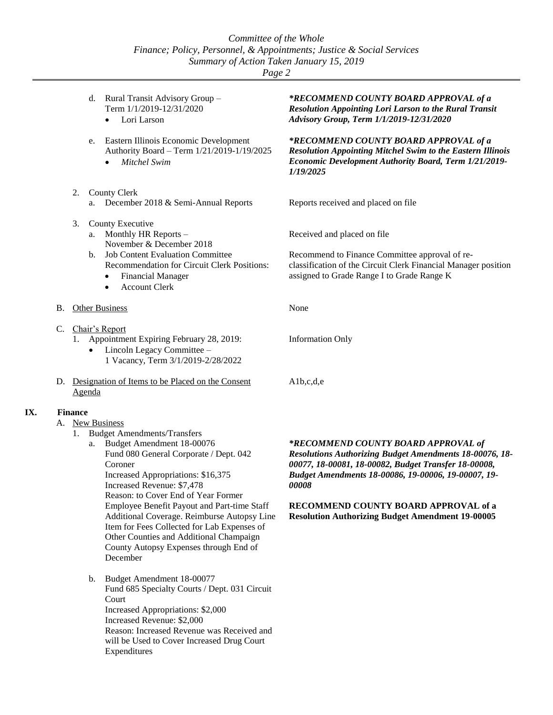|                | Rural Transit Advisory Group -<br>d.<br>Term 1/1/2019-12/31/2020<br>Lori Larson                                                                                                                                                                               | *RECOMMEND COUNTY BOARD APPROVAL of a<br><b>Resolution Appointing Lori Larson to the Rural Transit</b><br>Advisory Group, Term 1/1/2019-12/31/2020                                            |  |  |  |  |
|----------------|---------------------------------------------------------------------------------------------------------------------------------------------------------------------------------------------------------------------------------------------------------------|-----------------------------------------------------------------------------------------------------------------------------------------------------------------------------------------------|--|--|--|--|
|                | Eastern Illinois Economic Development<br>e.<br>Authority Board - Term 1/21/2019-1/19/2025<br>Mitchel Swim                                                                                                                                                     | *RECOMMEND COUNTY BOARD APPROVAL of a<br><b>Resolution Appointing Mitchel Swim to the Eastern Illinois</b><br>Economic Development Authority Board, Term 1/21/2019-<br>1/19/2025              |  |  |  |  |
|                | 2.<br>County Clerk                                                                                                                                                                                                                                            |                                                                                                                                                                                               |  |  |  |  |
|                | December 2018 & Semi-Annual Reports<br>a.                                                                                                                                                                                                                     | Reports received and placed on file                                                                                                                                                           |  |  |  |  |
|                | County Executive<br>3.<br>Monthly HR Reports -<br>a.<br>November & December 2018<br><b>Job Content Evaluation Committee</b><br>$\mathbf{b}$ .<br>Recommendation for Circuit Clerk Positions:<br><b>Financial Manager</b><br>$\bullet$<br><b>Account Clerk</b> | Received and placed on file<br>Recommend to Finance Committee approval of re-<br>classification of the Circuit Clerk Financial Manager position<br>assigned to Grade Range I to Grade Range K |  |  |  |  |
| В.             | <b>Other Business</b>                                                                                                                                                                                                                                         | None                                                                                                                                                                                          |  |  |  |  |
| C.             | Chair's Report<br>Appointment Expiring February 28, 2019:<br>1.<br>Lincoln Legacy Committee -<br>$\bullet$<br>1 Vacancy, Term 3/1/2019-2/28/2022                                                                                                              | <b>Information Only</b>                                                                                                                                                                       |  |  |  |  |
|                | D. Designation of Items to be Placed on the Consent<br>Agenda                                                                                                                                                                                                 | Alb,c,d,e                                                                                                                                                                                     |  |  |  |  |
| <b>Finance</b> |                                                                                                                                                                                                                                                               |                                                                                                                                                                                               |  |  |  |  |
|                | A. New Business                                                                                                                                                                                                                                               |                                                                                                                                                                                               |  |  |  |  |

1. Budget Amendments/Transfers

**IX.** 

- a. Budget Amendment 18-00076 Fund 080 General Corporate / Dept. 042 Coroner Increased Appropriations: \$16,375 Increased Revenue: \$7,478 Reason: to Cover End of Year Former Employee Benefit Payout and Part-time Staff Additional Coverage. Reimburse Autopsy Line Item for Fees Collected for Lab Expenses of Other Counties and Additional Champaign County Autopsy Expenses through End of December
- b. Budget Amendment 18-00077 Fund 685 Specialty Courts / Dept. 031 Circuit Court Increased Appropriations: \$2,000 Increased Revenue: \$2,000 Reason: Increased Revenue was Received and will be Used to Cover Increased Drug Court Expenditures

*\*RECOMMEND COUNTY BOARD APPROVAL of Resolutions Authorizing Budget Amendments 18-00076, 18- 00077, 18-00081, 18-00082, Budget Transfer 18-00008, Budget Amendments 18-00086, 19-00006, 19-00007, 19- 00008*

**RECOMMEND COUNTY BOARD APPROVAL of a Resolution Authorizing Budget Amendment 19-00005**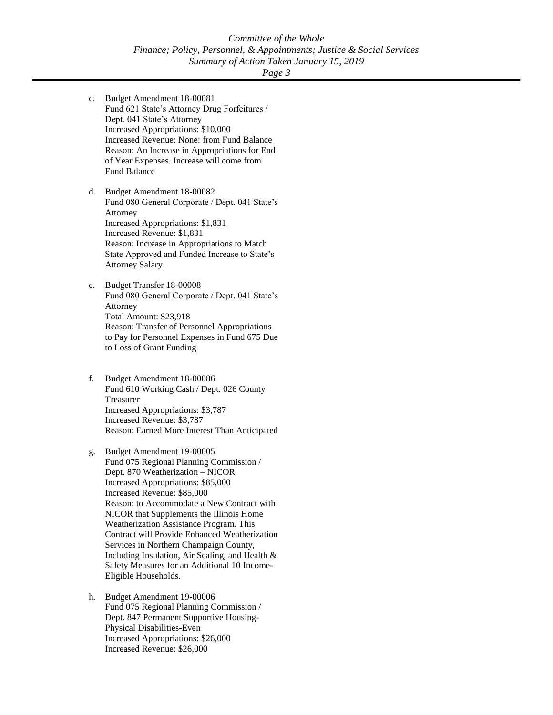- c. Budget Amendment 18-00081 Fund 621 State's Attorney Drug Forfeitures / Dept. 041 State's Attorney Increased Appropriations: \$10,000 Increased Revenue: None: from Fund Balance Reason: An Increase in Appropriations for End of Year Expenses. Increase will come from Fund Balance
- d. Budget Amendment 18-00082 Fund 080 General Corporate / Dept. 041 State's Attorney Increased Appropriations: \$1,831 Increased Revenue: \$1,831 Reason: Increase in Appropriations to Match State Approved and Funded Increase to State's Attorney Salary
- e. Budget Transfer 18-00008 Fund 080 General Corporate / Dept. 041 State's Attorney Total Amount: \$23,918 Reason: Transfer of Personnel Appropriations to Pay for Personnel Expenses in Fund 675 Due to Loss of Grant Funding
- f. Budget Amendment 18-00086 Fund 610 Working Cash / Dept. 026 County Treasurer Increased Appropriations: \$3,787 Increased Revenue: \$3,787 Reason: Earned More Interest Than Anticipated
- g. Budget Amendment 19-00005 Fund 075 Regional Planning Commission / Dept. 870 Weatherization – NICOR Increased Appropriations: \$85,000 Increased Revenue: \$85,000 Reason: to Accommodate a New Contract with NICOR that Supplements the Illinois Home Weatherization Assistance Program. This Contract will Provide Enhanced Weatherization Services in Northern Champaign County, Including Insulation, Air Sealing, and Health & Safety Measures for an Additional 10 Income-Eligible Households.
- h. Budget Amendment 19-00006 Fund 075 Regional Planning Commission / Dept. 847 Permanent Supportive Housing-Physical Disabilities-Even Increased Appropriations: \$26,000 Increased Revenue: \$26,000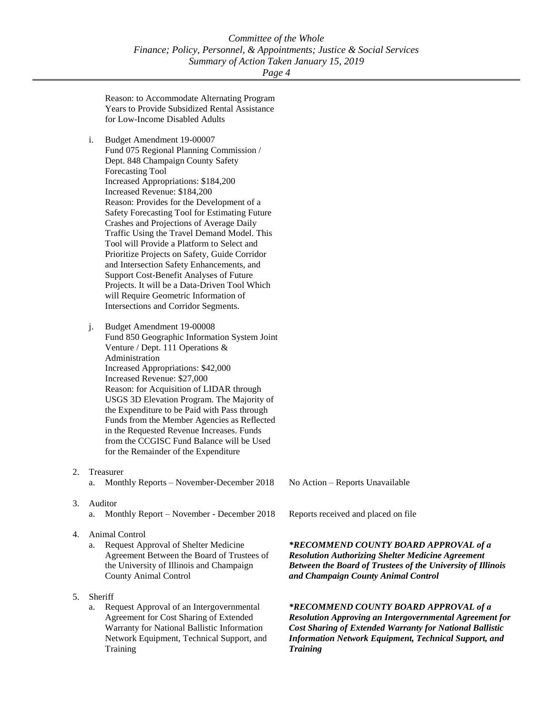Reason: to Accommodate Alternating Program Years to Provide Subsidized Rental Assistance for Low-Income Disabled Adults

- i. Budget Amendment 19-00007
- Fund 075 Regional Planning Commission / Dept. 848 Champaign County Safety Forecasting Tool Increased Appropriations: \$184,200 Increased Revenue: \$184,200 Reason: Provides for the Development of a Safety Forecasting Tool for Estimating Future Crashes and Projections of Average Daily Traffic Using the Travel Demand Model. This Tool will Provide a Platform to Select and Prioritize Projects on Safety, Guide Corridor and Intersection Safety Enhancements, and Support Cost-Benefit Analyses of Future Projects. It will be a Data-Driven Tool Which will Require Geometric Information of Intersections and Corridor Segments.
- j. Budget Amendment 19-00008 Fund 850 Geographic Information System Joint Venture / Dept. 111 Operations & Administration Increased Appropriations: \$42,000 Increased Revenue: \$27,000 Reason: for Acquisition of LIDAR through USGS 3D Elevation Program. The Majority of the Expenditure to be Paid with Pass through Funds from the Member Agencies as Reflected in the Requested Revenue Increases. Funds from the CCGISC Fund Balance will be Used for the Remainder of the Expenditure
- 2. Treasurer
	- a. Monthly Reports November-December 2018
- 3. Auditor
	- a. Monthly Report November December 2018
- 4. Animal Control
	- a. Request Approval of Shelter Medicine Agreement Between the Board of Trustees of the University of Illinois and Champaign County Animal Control
- 5. Sheriff
	- a. Request Approval of an Intergovernmental Agreement for Cost Sharing of Extended Warranty for National Ballistic Information Network Equipment, Technical Support, and Training

No Action – Reports Unavailable

Reports received and placed on file

## *\*RECOMMEND COUNTY BOARD APPROVAL of a Resolution Authorizing Shelter Medicine Agreement Between the Board of Trustees of the University of Illinois and Champaign County Animal Control*

*\*RECOMMEND COUNTY BOARD APPROVAL of a Resolution Approving an Intergovernmental Agreement for Cost Sharing of Extended Warranty for National Ballistic Information Network Equipment, Technical Support, and Training*